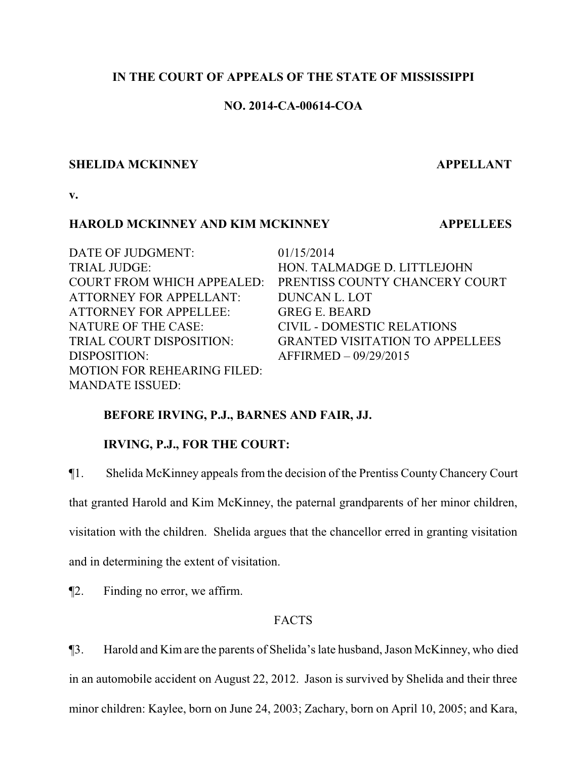# **IN THE COURT OF APPEALS OF THE STATE OF MISSISSIPPI**

# **NO. 2014-CA-00614-COA**

#### **SHELIDA MCKINNEY APPELLANT**

**v.**

### **HAROLD MCKINNEY AND KIM MCKINNEY APPELLEES**

DATE OF JUDGMENT: 01/15/2014 TRIAL JUDGE: HON. TALMADGE D. LITTLEJOHN COURT FROM WHICH APPEALED: PRENTISS COUNTY CHANCERY COURT ATTORNEY FOR APPELLANT: DUNCAN L. LOT ATTORNEY FOR APPELLEE: GREG E. BEARD NATURE OF THE CASE: CIVIL - DOMESTIC RELATIONS TRIAL COURT DISPOSITION: GRANTED VISITATION TO APPELLEES DISPOSITION: AFFIRMED – 09/29/2015 MOTION FOR REHEARING FILED: MANDATE ISSUED:

# **BEFORE IRVING, P.J., BARNES AND FAIR, JJ.**

# **IRVING, P.J., FOR THE COURT:**

¶1. Shelida McKinney appeals from the decision of the Prentiss CountyChancery Court

that granted Harold and Kim McKinney, the paternal grandparents of her minor children,

visitation with the children. Shelida argues that the chancellor erred in granting visitation

and in determining the extent of visitation.

¶2. Finding no error, we affirm.

# FACTS

¶3. Harold and Kimare the parents of Shelida's late husband, Jason McKinney, who died in an automobile accident on August 22, 2012. Jason is survived by Shelida and their three minor children: Kaylee, born on June 24, 2003; Zachary, born on April 10, 2005; and Kara,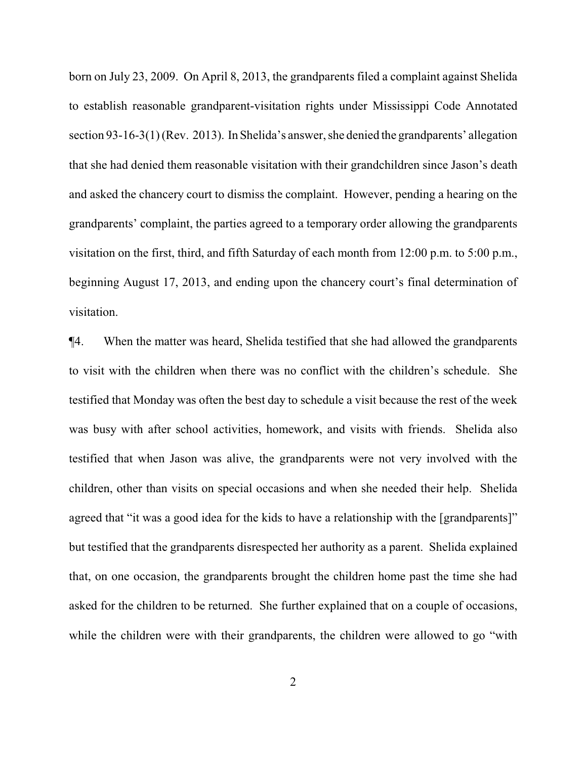born on July 23, 2009. On April 8, 2013, the grandparents filed a complaint against Shelida to establish reasonable grandparent-visitation rights under Mississippi Code Annotated section 93-16-3(1) (Rev. 2013). InShelida's answer, she denied the grandparents' allegation that she had denied them reasonable visitation with their grandchildren since Jason's death and asked the chancery court to dismiss the complaint. However, pending a hearing on the grandparents' complaint, the parties agreed to a temporary order allowing the grandparents visitation on the first, third, and fifth Saturday of each month from 12:00 p.m. to 5:00 p.m., beginning August 17, 2013, and ending upon the chancery court's final determination of visitation.

¶4. When the matter was heard, Shelida testified that she had allowed the grandparents to visit with the children when there was no conflict with the children's schedule. She testified that Monday was often the best day to schedule a visit because the rest of the week was busy with after school activities, homework, and visits with friends. Shelida also testified that when Jason was alive, the grandparents were not very involved with the children, other than visits on special occasions and when she needed their help. Shelida agreed that "it was a good idea for the kids to have a relationship with the [grandparents]" but testified that the grandparents disrespected her authority as a parent. Shelida explained that, on one occasion, the grandparents brought the children home past the time she had asked for the children to be returned. She further explained that on a couple of occasions, while the children were with their grandparents, the children were allowed to go "with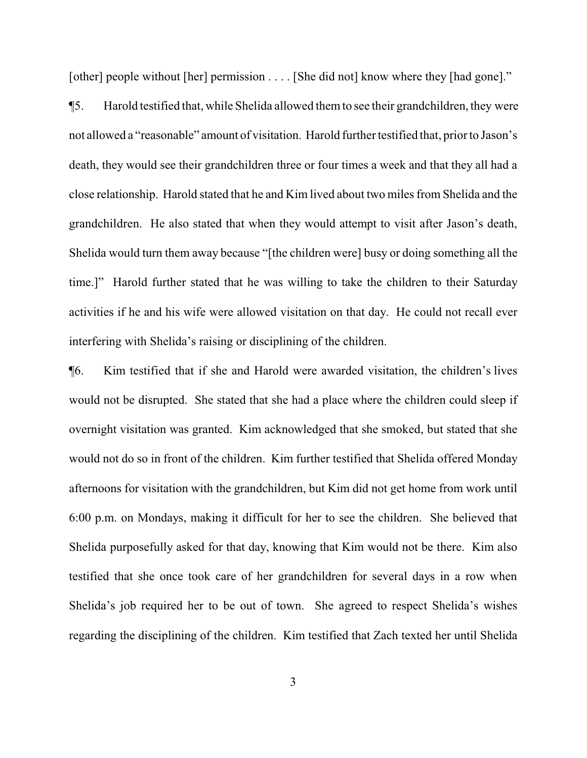[other] people without [her] permission . . . . [She did not] know where they [had gone]."

¶5. Harold testified that, while Shelida allowed themto see their grandchildren, they were not allowed a "reasonable" amount of visitation. Harold further testified that, prior to Jason's death, they would see their grandchildren three or four times a week and that they all had a close relationship. Harold stated that he and Kim lived about two miles from Shelida and the grandchildren. He also stated that when they would attempt to visit after Jason's death, Shelida would turn them away because "[the children were] busy or doing something all the time.]" Harold further stated that he was willing to take the children to their Saturday activities if he and his wife were allowed visitation on that day. He could not recall ever interfering with Shelida's raising or disciplining of the children.

¶6. Kim testified that if she and Harold were awarded visitation, the children's lives would not be disrupted. She stated that she had a place where the children could sleep if overnight visitation was granted. Kim acknowledged that she smoked, but stated that she would not do so in front of the children. Kim further testified that Shelida offered Monday afternoons for visitation with the grandchildren, but Kim did not get home from work until 6:00 p.m. on Mondays, making it difficult for her to see the children. She believed that Shelida purposefully asked for that day, knowing that Kim would not be there. Kim also testified that she once took care of her grandchildren for several days in a row when Shelida's job required her to be out of town. She agreed to respect Shelida's wishes regarding the disciplining of the children. Kim testified that Zach texted her until Shelida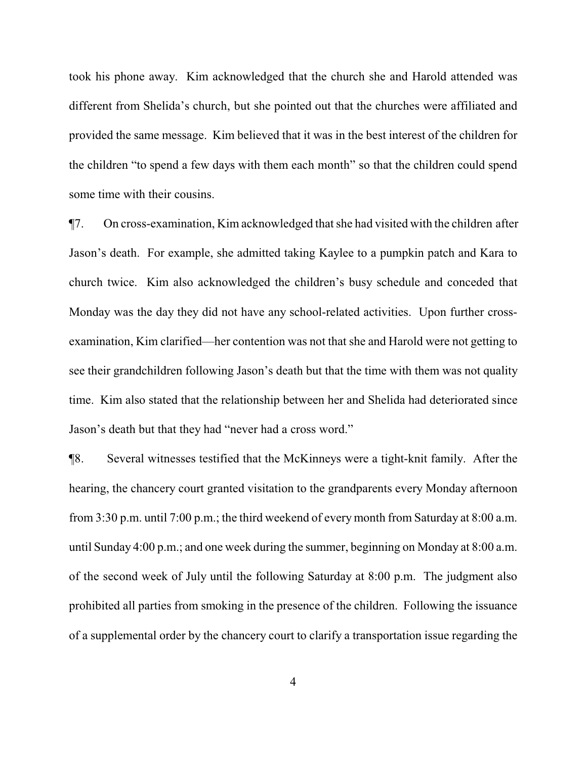took his phone away. Kim acknowledged that the church she and Harold attended was different from Shelida's church, but she pointed out that the churches were affiliated and provided the same message. Kim believed that it was in the best interest of the children for the children "to spend a few days with them each month" so that the children could spend some time with their cousins.

¶7. On cross-examination, Kim acknowledged that she had visited with the children after Jason's death. For example, she admitted taking Kaylee to a pumpkin patch and Kara to church twice. Kim also acknowledged the children's busy schedule and conceded that Monday was the day they did not have any school-related activities. Upon further crossexamination, Kim clarified—her contention was not that she and Harold were not getting to see their grandchildren following Jason's death but that the time with them was not quality time. Kim also stated that the relationship between her and Shelida had deteriorated since Jason's death but that they had "never had a cross word."

¶8. Several witnesses testified that the McKinneys were a tight-knit family. After the hearing, the chancery court granted visitation to the grandparents every Monday afternoon from 3:30 p.m. until 7:00 p.m.; the third weekend of every month from Saturday at 8:00 a.m. until Sunday 4:00 p.m.; and one week during the summer, beginning on Monday at 8:00 a.m. of the second week of July until the following Saturday at 8:00 p.m. The judgment also prohibited all parties from smoking in the presence of the children. Following the issuance of a supplemental order by the chancery court to clarify a transportation issue regarding the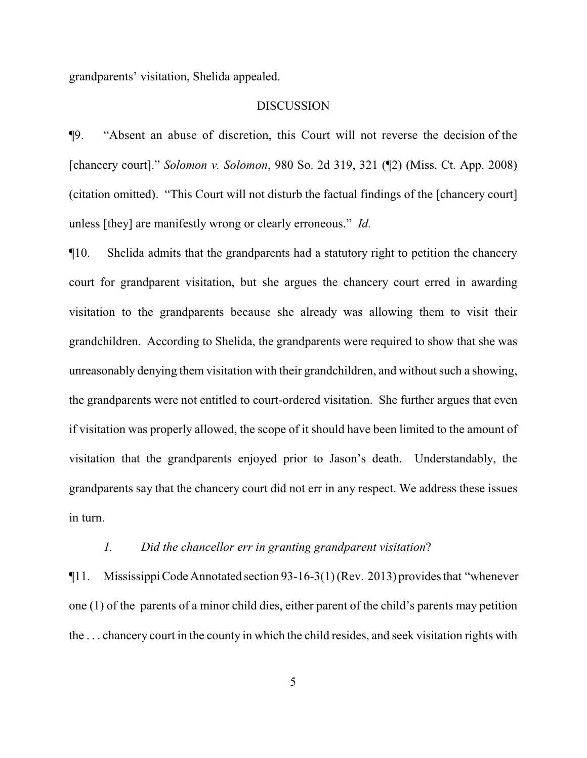grandparents' visitation, Shelida appealed.

#### **DISCUSSION**

¶9. "Absent an abuse of discretion, this Court will not reverse the decision of the [chancery court]." *Solomon v. Solomon*, 980 So. 2d 319, 321 (¶2) (Miss. Ct. App. 2008) (citation omitted). "This Court will not disturb the factual findings of the [chancery court] unless [they] are manifestly wrong or clearly erroneous." *Id.* 

¶10. Shelida admits that the grandparents had a statutory right to petition the chancery court for grandparent visitation, but she argues the chancery court erred in awarding visitation to the grandparents because she already was allowing them to visit their grandchildren. According to Shelida, the grandparents were required to show that she was unreasonably denying them visitation with their grandchildren, and without such a showing, the grandparents were not entitled to court-ordered visitation. She further argues that even if visitation was properly allowed, the scope of it should have been limited to the amount of visitation that the grandparents enjoyed prior to Jason's death. Understandably, the grandparents say that the chancery court did not err in any respect. We address these issues in turn.

#### *1. Did the chancellor err in granting grandparent visitation*?

¶11. Mississippi Code Annotated section 93-16-3(1) (Rev. 2013) provides that "whenever one (1) of the parents of a minor child dies, either parent of the child's parents may petition the . . . chancery court in the county in which the child resides, and seek visitation rights with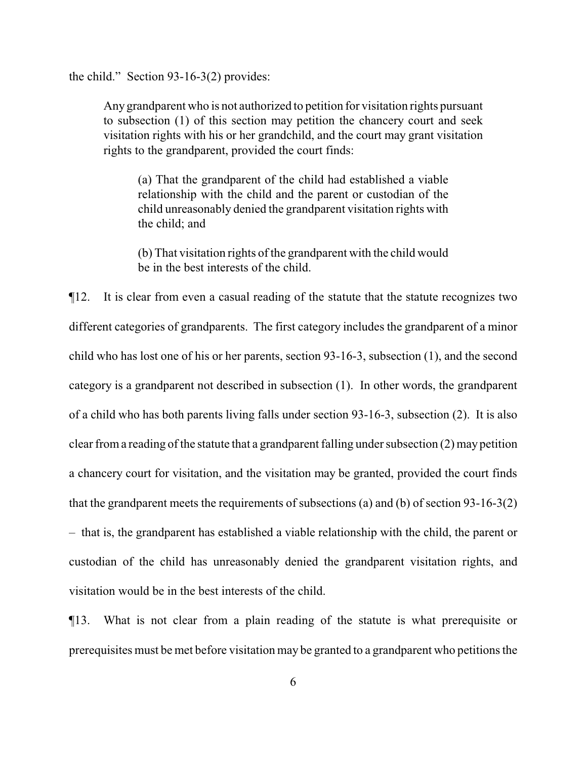the child." Section 93-16-3(2) provides:

Any grandparent who is not authorized to petition for visitation rights pursuant to subsection (1) of this section may petition the chancery court and seek visitation rights with his or her grandchild, and the court may grant visitation rights to the grandparent, provided the court finds:

(a) That the grandparent of the child had established a viable relationship with the child and the parent or custodian of the child unreasonably denied the grandparent visitation rights with the child; and

(b) That visitation rights of the grandparent with the child would be in the best interests of the child.

¶12. It is clear from even a casual reading of the statute that the statute recognizes two different categories of grandparents. The first category includes the grandparent of a minor child who has lost one of his or her parents, section 93-16-3, subsection (1), and the second category is a grandparent not described in subsection (1). In other words, the grandparent of a child who has both parents living falls under section 93-16-3, subsection (2). It is also clear froma reading of the statute that a grandparent falling under subsection (2) may petition a chancery court for visitation, and the visitation may be granted, provided the court finds that the grandparent meets the requirements of subsections (a) and (b) of section 93-16-3(2) – that is, the grandparent has established a viable relationship with the child, the parent or custodian of the child has unreasonably denied the grandparent visitation rights, and visitation would be in the best interests of the child.

¶13. What is not clear from a plain reading of the statute is what prerequisite or prerequisites must be met before visitation may be granted to a grandparent who petitions the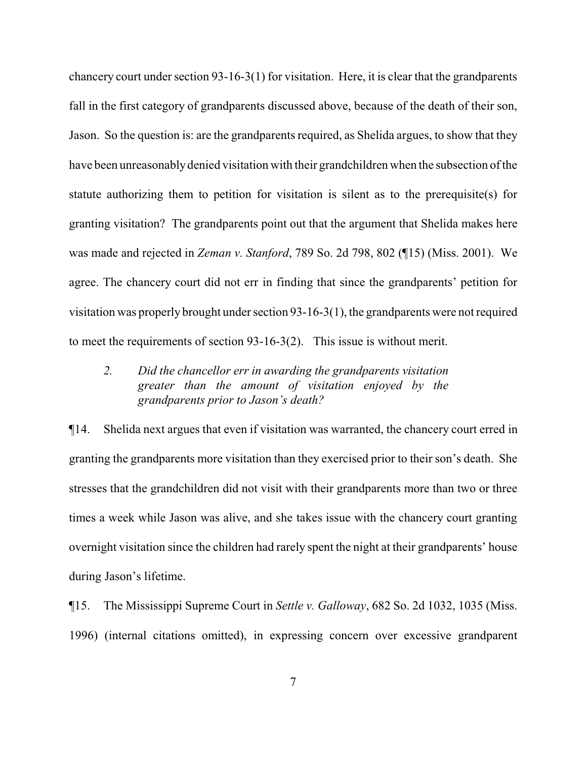chancery court under section 93-16-3(1) for visitation. Here, it is clear that the grandparents fall in the first category of grandparents discussed above, because of the death of their son, Jason. So the question is: are the grandparents required, as Shelida argues, to show that they have been unreasonably denied visitation with their grandchildren when the subsection of the statute authorizing them to petition for visitation is silent as to the prerequisite(s) for granting visitation? The grandparents point out that the argument that Shelida makes here was made and rejected in *Zeman v. Stanford*, 789 So. 2d 798, 802 (¶15) (Miss. 2001). We agree. The chancery court did not err in finding that since the grandparents' petition for visitation was properly brought under section 93-16-3(1), the grandparents were not required to meet the requirements of section 93-16-3(2). This issue is without merit.

*2. Did the chancellor err in awarding the grandparents visitation greater than the amount of visitation enjoyed by the grandparents prior to Jason's death?*

¶14. Shelida next argues that even if visitation was warranted, the chancery court erred in granting the grandparents more visitation than they exercised prior to their son's death. She stresses that the grandchildren did not visit with their grandparents more than two or three times a week while Jason was alive, and she takes issue with the chancery court granting overnight visitation since the children had rarely spent the night at their grandparents' house during Jason's lifetime.

¶15. The Mississippi Supreme Court in *Settle v. Galloway*, 682 So. 2d 1032, 1035 (Miss. 1996) (internal citations omitted), in expressing concern over excessive grandparent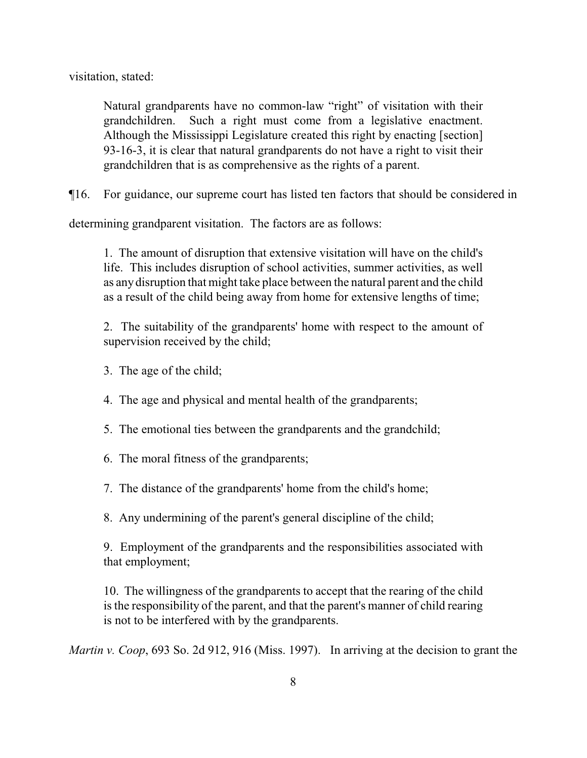visitation, stated:

Natural grandparents have no common-law "right" of visitation with their grandchildren. Such a right must come from a legislative enactment. Although the Mississippi Legislature created this right by enacting [section] 93-16-3, it is clear that natural grandparents do not have a right to visit their grandchildren that is as comprehensive as the rights of a parent.

¶16. For guidance, our supreme court has listed ten factors that should be considered in

determining grandparent visitation. The factors are as follows:

1. The amount of disruption that extensive visitation will have on the child's life. This includes disruption of school activities, summer activities, as well as any disruption that might take place between the natural parent and the child as a result of the child being away from home for extensive lengths of time;

2. The suitability of the grandparents' home with respect to the amount of supervision received by the child;

- 3. The age of the child;
- 4. The age and physical and mental health of the grandparents;
- 5. The emotional ties between the grandparents and the grandchild;
- 6. The moral fitness of the grandparents;
- 7. The distance of the grandparents' home from the child's home;
- 8. Any undermining of the parent's general discipline of the child;

9. Employment of the grandparents and the responsibilities associated with that employment;

10. The willingness of the grandparents to accept that the rearing of the child is the responsibility of the parent, and that the parent's manner of child rearing is not to be interfered with by the grandparents.

*Martin v. Coop*, 693 So. 2d 912, 916 (Miss. 1997). In arriving at the decision to grant the